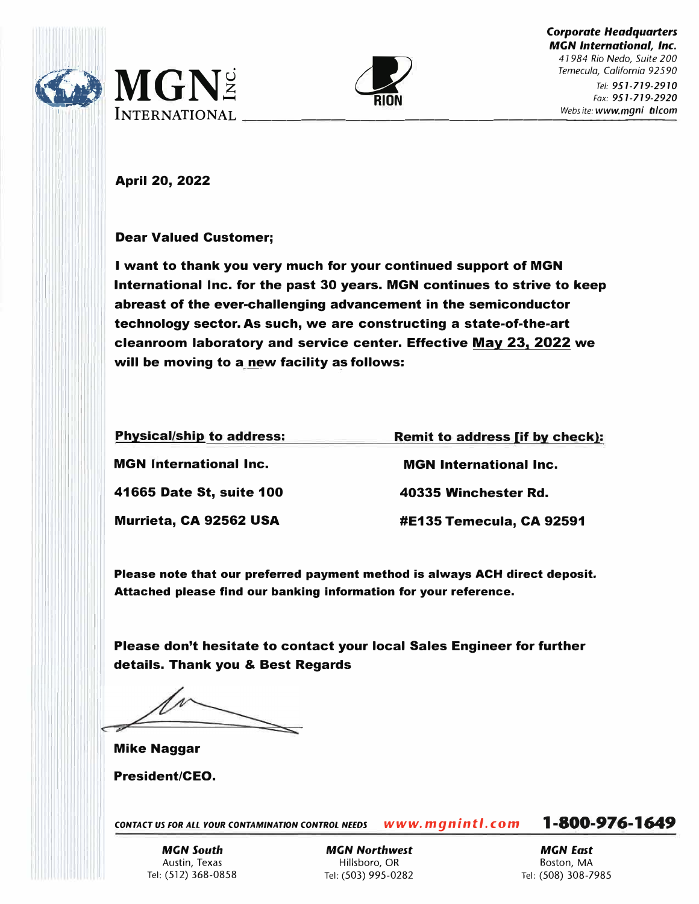

II<br>II II II II II II



April 20, 2022

Dear Valued Customer;

I want to thank you very much for your continued support of MGN International Inc. for the past 30 years. MGN continues to strive to keep abreast of the ever-challenging advancement in the semiconductor technology sector. As such, we are constructing a state-of-the-art cleanroom laboratory and service center. Effective May 23, 2022 we will be moving to a new facility as follows:

| <b>Physical/ship to address:</b> | <b>Remit to address [if by check]:</b> |
|----------------------------------|----------------------------------------|
| <b>MGN International Inc.</b>    | <b>MGN</b> International Inc.          |
| 41665 Date St, suite 100         | 40335 Winchester Rd.                   |
| Murrieta, CA 92562 USA           | #E135 Temecula, CA 92591               |

Please note that our preferred payment method is always ACH direct deposit. Attached please find our banking information for your reference.

Please don't hesitate to contact your local Sales Engineer for further details. Thank you & Best Regards

Mike Naggar

President/CEO.

*CONTACT us FOR ALI. YOUR CONTAMINATION CONTROL NEEDS WWW. mg n int I.* **CO m**

**1-800-976-1649**

*MGN South*  Austin, Texas Tel: (512) 368-0858

*MGN Northwest*  Hillsboro, OR Tel: (503) 995-0282

*MGN East*  Boston, MA Tel: (508) 308-7985